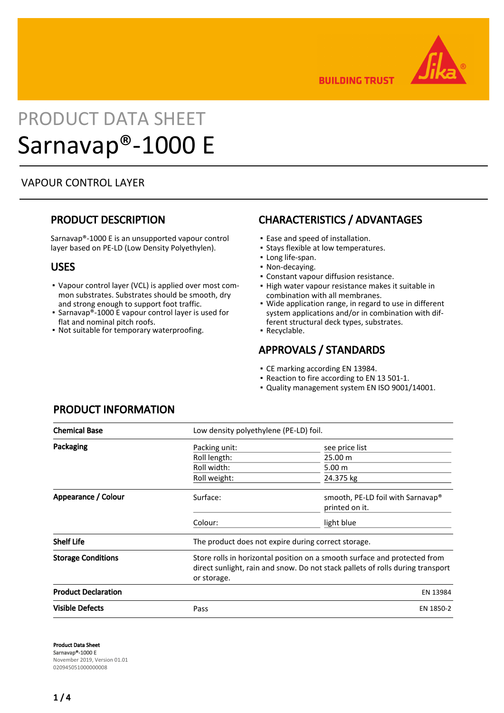

**BUILDING TRUST** 

# PRODUCT DATA SHEET Sarnavap®-1000 E

## VAPOUR CONTROL LAYER

## PRODUCT DESCRIPTION

Sarnavap®-1000 E is an unsupported vapour control layer based on PE-LD (Low Density Polyethylen).

### USES

- Vapour control layer (VCL) is applied over most com-▪ mon substrates. Substrates should be smooth, dry and strong enough to support foot traffic.
- **-** Sarnavap®-1000 E vapour control layer is used for flat and nominal pitch roofs.
- Not suitable for temporary waterproofing.

# CHARACTERISTICS / ADVANTAGES

- Ease and speed of installation.
- **.** Stays flexible at low temperatures.
- Long life-span.
- Non-decaying.
- Constant vapour diffusion resistance.
- **.** High water vapour resistance makes it suitable in combination with all membranes.
- Wide application range, in regard to use in different system applications and/or in combination with different structural deck types, substrates. ▪
- Recyclable.

## APPROVALS / STANDARDS

- CE marking according EN 13984.
- Reaction to fire according to EN 13 501-1.
- Quality management system EN ISO 9001/14001.

| <b>Chemical Base</b>       |                                                                                                                                                                            | Low density polyethylene (PE-LD) foil.                          |  |  |
|----------------------------|----------------------------------------------------------------------------------------------------------------------------------------------------------------------------|-----------------------------------------------------------------|--|--|
| Packaging                  | Packing unit:                                                                                                                                                              | see price list                                                  |  |  |
|                            | Roll length:                                                                                                                                                               | 25.00 m                                                         |  |  |
|                            | Roll width:                                                                                                                                                                | 5.00 m                                                          |  |  |
|                            | Roll weight:                                                                                                                                                               | 24.375 kg                                                       |  |  |
| Appearance / Colour        | Surface:                                                                                                                                                                   | smooth, PE-LD foil with Sarnavap <sup>®</sup><br>printed on it. |  |  |
|                            | Colour:                                                                                                                                                                    | light blue                                                      |  |  |
| <b>Shelf Life</b>          | The product does not expire during correct storage.                                                                                                                        |                                                                 |  |  |
| <b>Storage Conditions</b>  | Store rolls in horizontal position on a smooth surface and protected from<br>direct sunlight, rain and snow. Do not stack pallets of rolls during transport<br>or storage. |                                                                 |  |  |
| <b>Product Declaration</b> |                                                                                                                                                                            | EN 13984                                                        |  |  |
| <b>Visible Defects</b>     | Pass                                                                                                                                                                       | EN 1850-2                                                       |  |  |

## PRODUCT INFORMATION

Product Data Sheet Sarnavap®-1000 E November 2019, Version 01.01 020945051000000008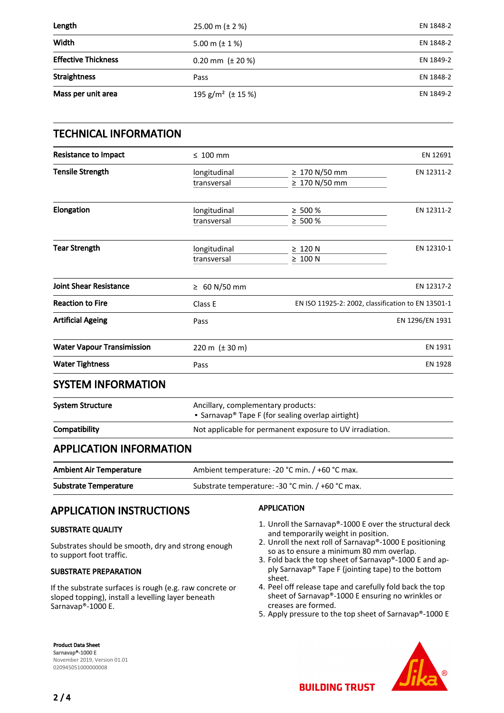| Length                     | 25.00 m ( $\pm$ 2 %)               | EN 1848-2 |
|----------------------------|------------------------------------|-----------|
| Width                      | 5.00 m $(\pm 1\%)$                 | EN 1848-2 |
| <b>Effective Thickness</b> | 0.20 mm $(\pm 20\%)$               | EN 1849-2 |
| <b>Straightness</b>        | Pass                               | EN 1848-2 |
| Mass per unit area         | 195 g/m <sup>2</sup> ( $\pm$ 15 %) | EN 1849-2 |

| <b>TECHNICAL INFORMATION</b>      |                                                |                                                                                         |                 |  |
|-----------------------------------|------------------------------------------------|-----------------------------------------------------------------------------------------|-----------------|--|
| <b>Resistance to Impact</b>       | $\leq 100$ mm                                  |                                                                                         | EN 12691        |  |
| <b>Tensile Strength</b>           | longitudinal<br>transversal                    | ≥ 170 N/50 mm<br>$\geq 170$ N/50 mm                                                     | EN 12311-2      |  |
| Elongation                        | longitudinal<br>transversal                    | $\geq 500 \%$<br>$\ge 500 \%$                                                           | EN 12311-2      |  |
| <b>Tear Strength</b>              | longitudinal<br>transversal                    | $\geq 120$ N<br>$\geq 100$ N                                                            | EN 12310-1      |  |
| <b>Joint Shear Resistance</b>     | ≥ 60 N/50 mm                                   |                                                                                         | EN 12317-2      |  |
| <b>Reaction to Fire</b>           | Class E                                        | EN ISO 11925-2: 2002, classification to EN 13501-1                                      |                 |  |
| <b>Artificial Ageing</b>          | Pass                                           |                                                                                         | EN 1296/EN 1931 |  |
| <b>Water Vapour Transimission</b> | 220 m $(\pm 30 \text{ m})$                     |                                                                                         | EN 1931         |  |
| <b>Water Tightness</b>            | Pass                                           |                                                                                         | <b>EN 1928</b>  |  |
| <b>SYSTEM INFORMATION</b>         |                                                |                                                                                         |                 |  |
| <b>System Structure</b>           |                                                | Ancillary, complementary products:<br>• Sarnavap® Tape F (for sealing overlap airtight) |                 |  |
| Compatibility                     |                                                | Not applicable for permanent exposure to UV irradiation.                                |                 |  |
| <b>APPLICATION INFORMATION</b>    |                                                |                                                                                         |                 |  |
| <b>Ambient Air Temperature</b>    | Ambient temperature: -20 °C min. / +60 °C max. |                                                                                         |                 |  |
| <b>Substrate Temperature</b>      |                                                | Substrate temperature: -30 °C min. / +60 °C max.                                        |                 |  |

# APPLICATION INSTRUCTIONS

#### SUBSTRATE QUALITY

Substrates should be smooth, dry and strong enough to support foot traffic.

#### SUBSTRATE PREPARATION

If the substrate surfaces is rough (e.g. raw concrete or sloped topping), install a levelling layer beneath Sarnavap®-1000 E.

#### APPLICATION

- 1. Unroll the Sarnavap®-1000 E over the structural deck and temporarily weight in position.
- 2. Unroll the next roll of Sarnavap®-1000 E positioning so as to ensure a minimum 80 mm overlap.
- 3. Fold back the top sheet of Sarnavap®-1000 E and apply Sarnavap® Tape F (jointing tape) to the bottom sheet.
- 4. Peel off release tape and carefully fold back the top sheet of Sarnavap®-1000 E ensuring no wrinkles or creases are formed.
- 5. Apply pressure to the top sheet of Sarnavap®-1000 E

Product Data Sheet Sarnavap®-1000 E November 2019, Version 01.01 020945051000000008

## $2/4$

**BUILDING TRUST**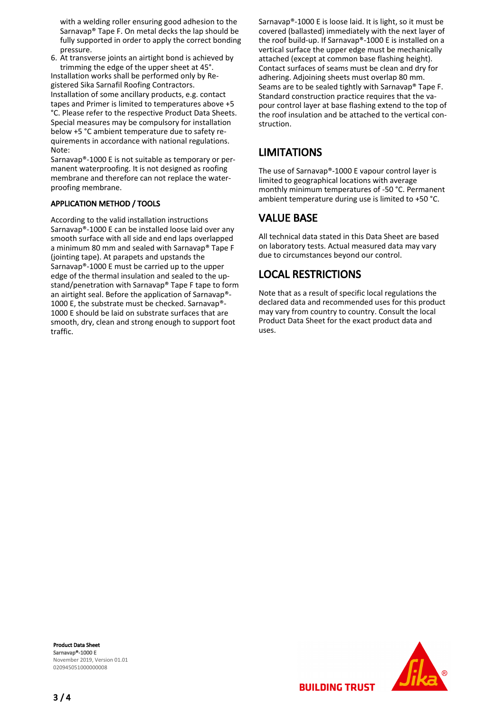with a welding roller ensuring good adhesion to the Sarnavap® Tape F. On metal decks the lap should be fully supported in order to apply the correct bonding pressure.

6. At transverse joints an airtight bond is achieved by trimming the edge of the upper sheet at 45°. Installation works shall be performed only by Registered Sika Sarnafil Roofing Contractors. Installation of some ancillary products, e.g. contact tapes and Primer is limited to temperatures above +5 °C. Please refer to the respective Product Data Sheets. Special measures may be compulsory for installation below +5 °C ambient temperature due to safety requirements in accordance with national regulations. Note:

Sarnavap®-1000 E is not suitable as temporary or permanent waterproofing. It is not designed as roofing membrane and therefore can not replace the waterproofing membrane.

#### APPLICATION METHOD / TOOLS

According to the valid installation instructions Sarnavap®-1000 E can be installed loose laid over any smooth surface with all side and end laps overlapped a minimum 80 mm and sealed with Sarnavap® Tape F (jointing tape). At parapets and upstands the Sarnavap®-1000 E must be carried up to the upper edge of the thermal insulation and sealed to the upstand/penetration with Sarnavap® Tape F tape to form an airtight seal. Before the application of Sarnavap®- 1000 E, the substrate must be checked. Sarnavap®- 1000 E should be laid on substrate surfaces that are smooth, dry, clean and strong enough to support foot traffic.

Sarnavap®-1000 E is loose laid. It is light, so it must be covered (ballasted) immediately with the next layer of the roof build-up. If Sarnavap®-1000 E is installed on a vertical surface the upper edge must be mechanically attached (except at common base flashing height). Contact surfaces of seams must be clean and dry for adhering. Adjoining sheets must overlap 80 mm. Seams are to be sealed tightly with Sarnavap® Tape F. Standard construction practice requires that the vapour control layer at base flashing extend to the top of the roof insulation and be attached to the vertical construction.

## LIMITATIONS

The use of Sarnavap®-1000 E vapour control layer is limited to geographical locations with average monthly minimum temperatures of -50 °C. Permanent ambient temperature during use is limited to +50 °C.

## VALUE BASE

All technical data stated in this Data Sheet are based on laboratory tests. Actual measured data may vary due to circumstances beyond our control.

# LOCAL RESTRICTIONS

Note that as a result of specific local regulations the declared data and recommended uses for this product may vary from country to country. Consult the local Product Data Sheet for the exact product data and uses.

Product Data Sheet Sarnavap®-1000 E November 2019, Version 01.01 020945051000000008



**BUILDING TRUST**